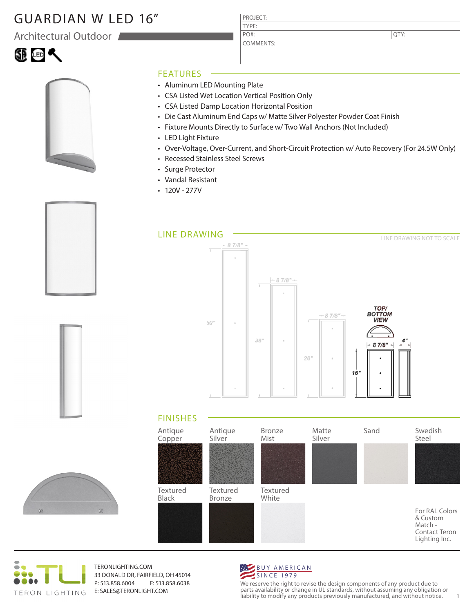# GUARDIAN W LED 16"

Architectural Outdoor







- Aluminum LED Mounting Plate
- CSA Listed Wet Location Vertical Position Only

PROJECT: TYPE:

PO#:

COMMENTS:

- CSA Listed Damp Location Horizontal Position
- Die Cast Aluminum End Caps w/ Matte Silver Polyester Powder Coat Finish
- Fixture Mounts Directly to Surface w/ Two Wall Anchors (Not Included)
- LED Light Fixture
- Over-Voltage, Over-Current, and Short-Circuit Protection w/ Auto Recovery (For 24.5W Only)
- Recessed Stainless Steel Screws
- Surge Protector
- Vandal Resistant
- $\cdot$  120V 277V









TERONLIGHTING.COM 33 DONALD DR, FAIRFIELD, OH 45014 P: 513.858.6004 F: 513.858.6038 E: SALES@TERONLIGHT.COM



We reserve the right to revise the design components of any product due to parts availability or change in UL standards, without assuming any obligation or liability to modify any products previously manufactured, and without notice. 1

QTY: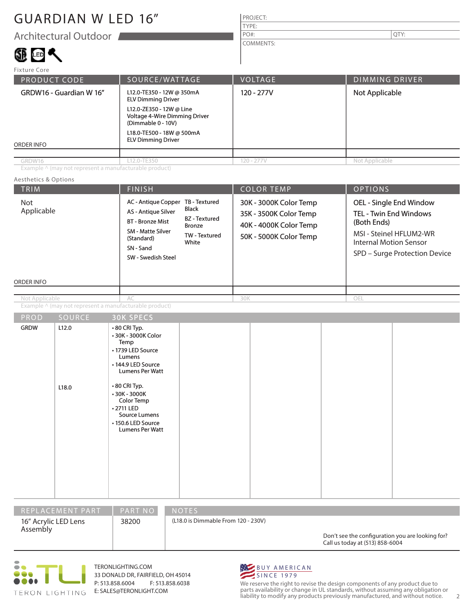# GUARDIAN W LED 16"

## PROJECT: TYPE: COMMENTS: PO#:  $\vert$  QTY:

| Fixture Core                                                                                                                                                                                                                                 |             |                |                                         |  |
|----------------------------------------------------------------------------------------------------------------------------------------------------------------------------------------------------------------------------------------------|-------------|----------------|-----------------------------------------|--|
| SOURCE/WATTAGE<br><b>PRODUCT CODE</b>                                                                                                                                                                                                        |             | <b>VOLTAGE</b> | <b>DIMMING DRIVER</b><br>Not Applicable |  |
| L12.0-TE350 - 12W @ 350mA<br>GRDW16 - Guardian W 16"<br><b>ELV Dimming Driver</b><br>L12.0-ZE350 - 12W @ Line<br>Voltage 4-Wire Dimming Driver<br>(Dimmable 0 - 10V)<br>L18.0-TE500 - 18W @ 500mA<br><b>ELV Dimming Driver</b><br>ORDER INFO |             | 120 - 277V     |                                         |  |
|                                                                                                                                                                                                                                              |             |                |                                         |  |
| GRDW16                                                                                                                                                                                                                                       | L12.0-TE350 | $120 - 277V$   | Not Applicable                          |  |

## Aesthetics & Options

| Architectural Outdoor                                                           |                                                                                                                                                                                                                                                            | $PO#$ :                                                                                              | QTY:                                                                                                                                                                 |  |  |
|---------------------------------------------------------------------------------|------------------------------------------------------------------------------------------------------------------------------------------------------------------------------------------------------------------------------------------------------------|------------------------------------------------------------------------------------------------------|----------------------------------------------------------------------------------------------------------------------------------------------------------------------|--|--|
|                                                                                 |                                                                                                                                                                                                                                                            | <b>COMMENTS:</b>                                                                                     |                                                                                                                                                                      |  |  |
| 健田へ                                                                             |                                                                                                                                                                                                                                                            |                                                                                                      |                                                                                                                                                                      |  |  |
| Fixture Core                                                                    |                                                                                                                                                                                                                                                            |                                                                                                      |                                                                                                                                                                      |  |  |
| PRODUCT CODE                                                                    | SOURCE/WATTAGE                                                                                                                                                                                                                                             | VOLTAGE                                                                                              | <b>DIMMING DRIVER</b>                                                                                                                                                |  |  |
| GRDW16 - Guardian W 16"                                                         | L12.0-TE350 - 12W @ 350mA<br><b>ELV Dimming Driver</b>                                                                                                                                                                                                     | 120 - 277V                                                                                           | Not Applicable                                                                                                                                                       |  |  |
| L12.0-ZE350 - 12W @ Line<br>Voltage 4-Wire Dimming Driver<br>(Dimmable 0 - 10V) |                                                                                                                                                                                                                                                            |                                                                                                      |                                                                                                                                                                      |  |  |
| <b>ORDER INFO</b>                                                               | L18.0-TE500 - 18W @ 500mA<br><b>ELV Dimming Driver</b>                                                                                                                                                                                                     |                                                                                                      |                                                                                                                                                                      |  |  |
|                                                                                 |                                                                                                                                                                                                                                                            |                                                                                                      |                                                                                                                                                                      |  |  |
| GRDW16                                                                          | L12.0-TE350                                                                                                                                                                                                                                                | $120 - 277V$                                                                                         | Not Applicable                                                                                                                                                       |  |  |
| Example ^ (may not represent a manufacturable product)                          |                                                                                                                                                                                                                                                            |                                                                                                      |                                                                                                                                                                      |  |  |
| Aesthetics & Options                                                            |                                                                                                                                                                                                                                                            |                                                                                                      |                                                                                                                                                                      |  |  |
| TRIM                                                                            | <b>FINISH</b>                                                                                                                                                                                                                                              | <b>COLOR TEMP</b>                                                                                    | <b>OPTIONS</b>                                                                                                                                                       |  |  |
| Not<br>Applicable                                                               | AC - Antique Copper TB - Textured<br><b>Black</b><br><b>AS - Antique Silver</b><br><b>BZ</b> - Textured<br><b>BT</b> - Bronze Mist<br><b>Bronze</b><br><b>SM - Matte Silver</b><br>TW - Textured<br>(Standard)<br>White<br>SN - Sand<br>SW - Swedish Steel | 30K - 3000K Color Temp<br>35K - 3500K Color Temp<br>40K - 4000K Color Temp<br>50K - 5000K Color Temp | OEL - Single End Window<br><b>TEL - Twin End Windows</b><br>(Both Ends)<br>MSI - Steinel HFLUM2-WR<br><b>Internal Motion Sensor</b><br>SPD - Surge Protection Device |  |  |
| ORDER INFO                                                                      |                                                                                                                                                                                                                                                            |                                                                                                      |                                                                                                                                                                      |  |  |
| Not Applicable                                                                  | AC                                                                                                                                                                                                                                                         | 30K                                                                                                  | OEL                                                                                                                                                                  |  |  |
| Example $\wedge$ (may not represent a manufacturable product)                   |                                                                                                                                                                                                                                                            |                                                                                                      |                                                                                                                                                                      |  |  |

| <b>GRDW</b><br>L12.0 | • 80 CRI Typ.<br>• 30K - 3000K Color<br>Temp                                                                              |  |  |
|----------------------|---------------------------------------------------------------------------------------------------------------------------|--|--|
|                      | • 1739 LED Source<br>Lumens<br>• 144.9 LED Source<br>Lumens Per Watt                                                      |  |  |
| L18.0                | ⋅80 CRI Typ.<br>$\cdot$ 30K - 3000K<br>Color Temp<br>• 2711 LED<br>Source Lumens<br>• 150.6 LED Source<br>Lumens Per Watt |  |  |





TERONLIGHTING.COM 33 DONALD DR, FAIRFIELD, OH 45014 P: 513.858.6004 F: 513.858.6038 E: SALES@TERONLIGHT.COM



We reserve the right to revise the design components of any product due to parts availability or change in UL standards, without assuming any obligation or liability to modify any products previously manufactured, and without notice. 2